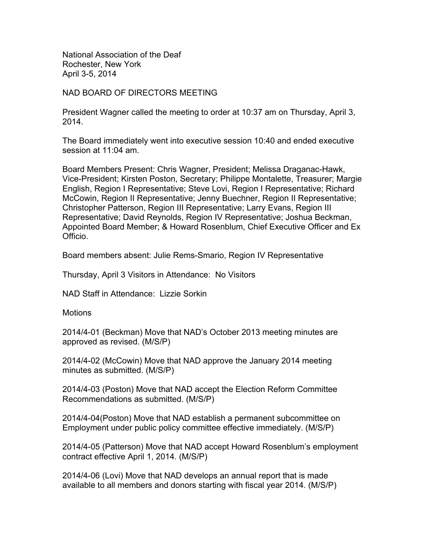National Association of the Deaf Rochester, New York April 3-5, 2014

#### NAD BOARD OF DIRECTORS MEETING

President Wagner called the meeting to order at 10:37 am on Thursday, April 3, 2014.

The Board immediately went into executive session 10:40 and ended executive session at 11:04 am.

Board Members Present: Chris Wagner, President; Melissa Draganac-Hawk, Vice-President; Kirsten Poston, Secretary; Philippe Montalette, Treasurer; Margie English, Region I Representative; Steve Lovi, Region I Representative; Richard McCowin, Region II Representative; Jenny Buechner, Region II Representative; Christopher Patterson, Region III Representative; Larry Evans, Region III Representative; David Reynolds, Region IV Representative; Joshua Beckman, Appointed Board Member; & Howard Rosenblum, Chief Executive Officer and Ex Officio.

Board members absent: Julie Rems-Smario, Region IV Representative

Thursday, April 3 Visitors in Attendance: No Visitors

NAD Staff in Attendance: Lizzie Sorkin

**Motions** 

2014/4-01 (Beckman) Move that NAD's October 2013 meeting minutes are approved as revised. (M/S/P)

2014/4-02 (McCowin) Move that NAD approve the January 2014 meeting minutes as submitted. (M/S/P)

2014/4-03 (Poston) Move that NAD accept the Election Reform Committee Recommendations as submitted. (M/S/P)

2014/4-04(Poston) Move that NAD establish a permanent subcommittee on Employment under public policy committee effective immediately. (M/S/P)

2014/4-05 (Patterson) Move that NAD accept Howard Rosenblum's employment contract effective April 1, 2014. (M/S/P)

2014/4-06 (Lovi) Move that NAD develops an annual report that is made available to all members and donors starting with fiscal year 2014. (M/S/P)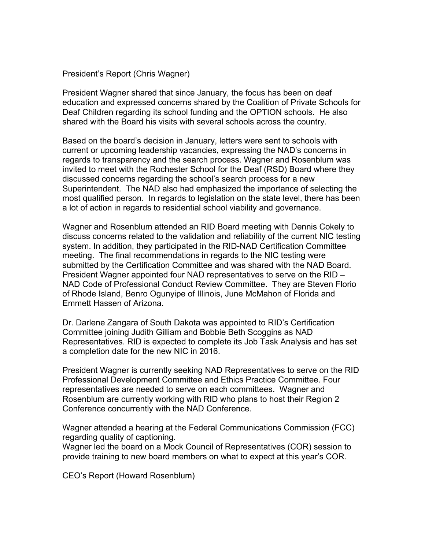President's Report (Chris Wagner)

President Wagner shared that since January, the focus has been on deaf education and expressed concerns shared by the Coalition of Private Schools for Deaf Children regarding its school funding and the OPTION schools. He also shared with the Board his visits with several schools across the country.

Based on the board's decision in January, letters were sent to schools with current or upcoming leadership vacancies, expressing the NAD's concerns in regards to transparency and the search process. Wagner and Rosenblum was invited to meet with the Rochester School for the Deaf (RSD) Board where they discussed concerns regarding the school's search process for a new Superintendent. The NAD also had emphasized the importance of selecting the most qualified person. In regards to legislation on the state level, there has been a lot of action in regards to residential school viability and governance.

Wagner and Rosenblum attended an RID Board meeting with Dennis Cokely to discuss concerns related to the validation and reliability of the current NIC testing system. In addition, they participated in the RID-NAD Certification Committee meeting. The final recommendations in regards to the NIC testing were submitted by the Certification Committee and was shared with the NAD Board. President Wagner appointed four NAD representatives to serve on the RID – NAD Code of Professional Conduct Review Committee. They are Steven Florio of Rhode Island, Benro Ogunyipe of Illinois, June McMahon of Florida and Emmett Hassen of Arizona.

Dr. Darlene Zangara of South Dakota was appointed to RID's Certification Committee joining Judith Gilliam and Bobbie Beth Scoggins as NAD Representatives. RID is expected to complete its Job Task Analysis and has set a completion date for the new NIC in 2016.

President Wagner is currently seeking NAD Representatives to serve on the RID Professional Development Committee and Ethics Practice Committee. Four representatives are needed to serve on each committees. Wagner and Rosenblum are currently working with RID who plans to host their Region 2 Conference concurrently with the NAD Conference.

Wagner attended a hearing at the Federal Communications Commission (FCC) regarding quality of captioning.

Wagner led the board on a Mock Council of Representatives (COR) session to provide training to new board members on what to expect at this year's COR.

CEO's Report (Howard Rosenblum)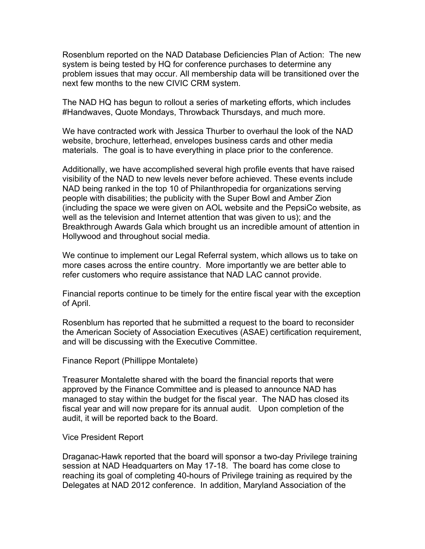Rosenblum reported on the NAD Database Deficiencies Plan of Action: The new system is being tested by HQ for conference purchases to determine any problem issues that may occur. All membership data will be transitioned over the next few months to the new CIVIC CRM system.

The NAD HQ has begun to rollout a series of marketing efforts, which includes #Handwaves, Quote Mondays, Throwback Thursdays, and much more.

We have contracted work with Jessica Thurber to overhaul the look of the NAD website, brochure, letterhead, envelopes business cards and other media materials. The goal is to have everything in place prior to the conference.

Additionally, we have accomplished several high profile events that have raised visibility of the NAD to new levels never before achieved. These events include NAD being ranked in the top 10 of Philanthropedia for organizations serving people with disabilities; the publicity with the Super Bowl and Amber Zion (including the space we were given on AOL website and the PepsiCo website, as well as the television and Internet attention that was given to us); and the Breakthrough Awards Gala which brought us an incredible amount of attention in Hollywood and throughout social media.

We continue to implement our Legal Referral system, which allows us to take on more cases across the entire country. More importantly we are better able to refer customers who require assistance that NAD LAC cannot provide.

Financial reports continue to be timely for the entire fiscal year with the exception of April.

Rosenblum has reported that he submitted a request to the board to reconsider the American Society of Association Executives (ASAE) certification requirement, and will be discussing with the Executive Committee.

Finance Report (Phillippe Montalete)

Treasurer Montalette shared with the board the financial reports that were approved by the Finance Committee and is pleased to announce NAD has managed to stay within the budget for the fiscal year. The NAD has closed its fiscal year and will now prepare for its annual audit. Upon completion of the audit, it will be reported back to the Board.

#### Vice President Report

Draganac-Hawk reported that the board will sponsor a two-day Privilege training session at NAD Headquarters on May 17-18. The board has come close to reaching its goal of completing 40-hours of Privilege training as required by the Delegates at NAD 2012 conference. In addition, Maryland Association of the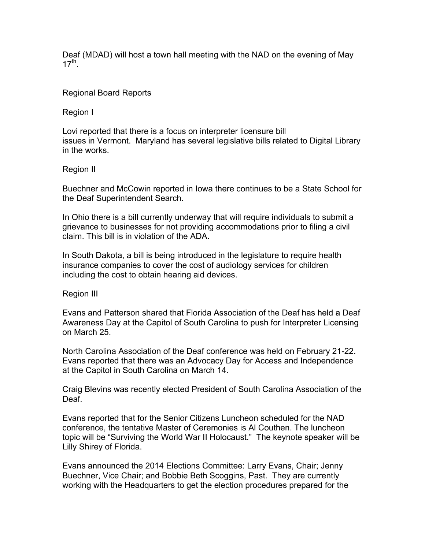Deaf (MDAD) will host a town hall meeting with the NAD on the evening of May  $17^{th}$ .

### Regional Board Reports

Region I

Lovi reported that there is a focus on interpreter licensure bill issues in Vermont. Maryland has several legislative bills related to Digital Library in the works.

## Region II

Buechner and McCowin reported in Iowa there continues to be a State School for the Deaf Superintendent Search.

In Ohio there is a bill currently underway that will require individuals to submit a grievance to businesses for not providing accommodations prior to filing a civil claim. This bill is in violation of the ADA.

In South Dakota, a bill is being introduced in the legislature to require health insurance companies to cover the cost of audiology services for children including the cost to obtain hearing aid devices.

Region III

Evans and Patterson shared that Florida Association of the Deaf has held a Deaf Awareness Day at the Capitol of South Carolina to push for Interpreter Licensing on March 25.

North Carolina Association of the Deaf conference was held on February 21-22. Evans reported that there was an Advocacy Day for Access and Independence at the Capitol in South Carolina on March 14.

Craig Blevins was recently elected President of South Carolina Association of the Deaf.

Evans reported that for the Senior Citizens Luncheon scheduled for the NAD conference, the tentative Master of Ceremonies is Al Couthen. The luncheon topic will be "Surviving the World War II Holocaust." The keynote speaker will be Lilly Shirey of Florida.

Evans announced the 2014 Elections Committee: Larry Evans, Chair; Jenny Buechner, Vice Chair; and Bobbie Beth Scoggins, Past. They are currently working with the Headquarters to get the election procedures prepared for the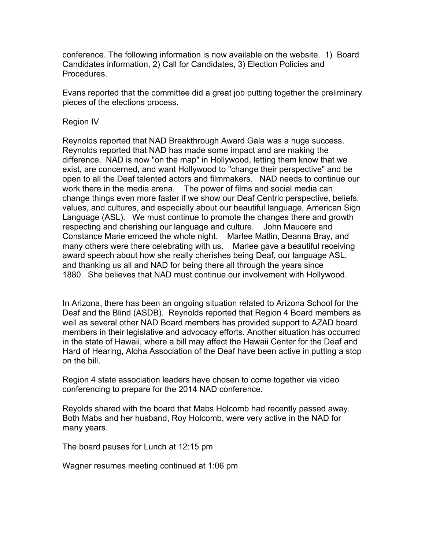conference. The following information is now available on the website. 1) Board Candidates information, 2) Call for Candidates, 3) Election Policies and Procedures.

Evans reported that the committee did a great job putting together the preliminary pieces of the elections process.

#### Region IV

Reynolds reported that NAD Breakthrough Award Gala was a huge success. Reynolds reported that NAD has made some impact and are making the difference. NAD is now "on the map" in Hollywood, letting them know that we exist, are concerned, and want Hollywood to "change their perspective" and be open to all the Deaf talented actors and filmmakers. NAD needs to continue our work there in the media arena. The power of films and social media can change things even more faster if we show our Deaf Centric perspective, beliefs, values, and cultures, and especially about our beautiful language, American Sign Language (ASL). We must continue to promote the changes there and growth respecting and cherishing our language and culture. John Maucere and Constance Marie emceed the whole night. Marlee Matlin, Deanna Bray, and many others were there celebrating with us. Marlee gave a beautiful receiving award speech about how she really cherishes being Deaf, our language ASL, and thanking us all and NAD for being there all through the years since 1880. She believes that NAD must continue our involvement with Hollywood.

In Arizona, there has been an ongoing situation related to Arizona School for the Deaf and the Blind (ASDB). Reynolds reported that Region 4 Board members as well as several other NAD Board members has provided support to AZAD board members in their legislative and advocacy efforts. Another situation has occurred in the state of Hawaii, where a bill may affect the Hawaii Center for the Deaf and Hard of Hearing, Aloha Association of the Deaf have been active in putting a stop on the bill.

Region 4 state association leaders have chosen to come together via video conferencing to prepare for the 2014 NAD conference.

Reyolds shared with the board that Mabs Holcomb had recently passed away. Both Mabs and her husband, Roy Holcomb, were very active in the NAD for many years.

The board pauses for Lunch at 12:15 pm

Wagner resumes meeting continued at 1:06 pm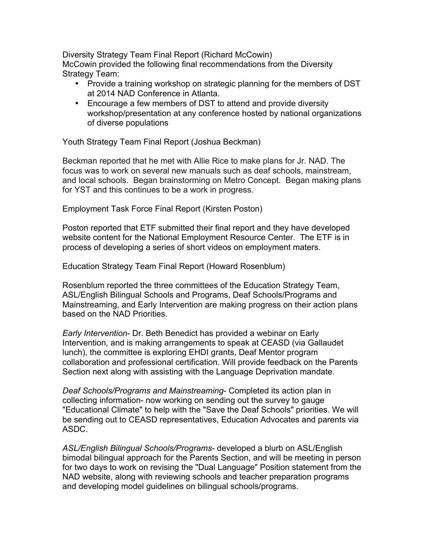Diversity Strategy Team Final Report (Richard McCowin) McCowin provided the following final recommendations from the Diversity Strategy Team:

- Provide a training workshop on strategic planning for the members of DST at 2014 NAD Conference in Atlanta.
- Encourage a few members of DST to attend and provide diversity workshop/presentation at any conference hosted by national organizations of diverse populations

Youth Strategy Team Final Report (Joshua Beckman)

Beckman reported that he met with Allie Rice to make plans for Jr. NAD. The focus was to work on several new manuals such as deaf schools, mainstream, and local schools. Began brainstorming on Metro Concept. Began making plans for YST and this continues to be a work in progress.

Employment Task Force Final Report (Kirsten Poston)

Poston reported that ETF submitted their final report and they have developed website content for the National Employment Resource Center. The ETF is in process of developing a series of short videos on employment maters.

Education Strategy Team Final Report (Howard Rosenblum)

Rosenblum reported the three committees of the Education Strategy Team, ASL/English Bilingual Schools and Programs, Deaf Schools/Programs and Mainstreaming, and Early Intervention are making progress on their action plans based on the NAD Priorities.

*Early Intervention*- Dr. Beth Benedict has provided a webinar on Early Intervention, and is making arrangements to speak at CEASD (via Gallaudet lunch), the committee is exploring EHDI grants, Deaf Mentor program collaboration and professional certification. Will provide feedback on the Parents Section next along with assisting with the Language Deprivation mandate.

*Deaf Schools/Programs and Mainstreaming*- Completed its action plan in collecting information- now working on sending out the survey to gauge "Educational Climate" to help with the "Save the Deaf Schools" priorities. We will be sending out to CEASD representatives, Education Advocates and parents via ASDC.

*ASL/English Bilingual Schools/Programs*- developed a blurb on ASL/English bimodal bilingual approach for the Parents Section, and will be meeting in person for two days to work on revising the "Dual Language" Position statement from the NAD website, along with reviewing schools and teacher preparation programs and developing model guidelines on bilingual schools/programs.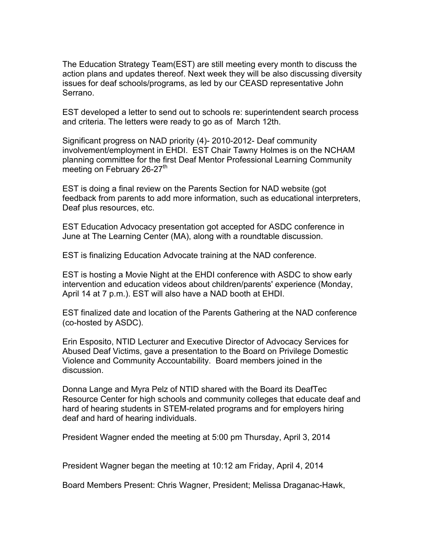The Education Strategy Team(EST) are still meeting every month to discuss the action plans and updates thereof. Next week they will be also discussing diversity issues for deaf schools/programs, as led by our CEASD representative John Serrano.

EST developed a letter to send out to schools re: superintendent search process and criteria. The letters were ready to go as of March 12th.

Significant progress on NAD priority (4)- 2010-2012- Deaf community involvement/employment in EHDI. EST Chair Tawny Holmes is on the NCHAM planning committee for the first Deaf Mentor Professional Learning Community meeting on February  $26-27$ <sup>th</sup>

EST is doing a final review on the Parents Section for NAD website (got feedback from parents to add more information, such as educational interpreters, Deaf plus resources, etc.

EST Education Advocacy presentation got accepted for ASDC conference in June at The Learning Center (MA), along with a roundtable discussion.

EST is finalizing Education Advocate training at the NAD conference.

EST is hosting a Movie Night at the EHDI conference with ASDC to show early intervention and education videos about children/parents' experience (Monday, April 14 at 7 p.m.). EST will also have a NAD booth at EHDI.

EST finalized date and location of the Parents Gathering at the NAD conference (co-hosted by ASDC).

Erin Esposito, NTID Lecturer and Executive Director of Advocacy Services for Abused Deaf Victims, gave a presentation to the Board on Privilege Domestic Violence and Community Accountability. Board members joined in the discussion.

Donna Lange and Myra Pelz of NTID shared with the Board its DeafTec Resource Center for high schools and community colleges that educate deaf and hard of hearing students in STEM-related programs and for employers hiring deaf and hard of hearing individuals.

President Wagner ended the meeting at 5:00 pm Thursday, April 3, 2014

President Wagner began the meeting at 10:12 am Friday, April 4, 2014

Board Members Present: Chris Wagner, President; Melissa Draganac-Hawk,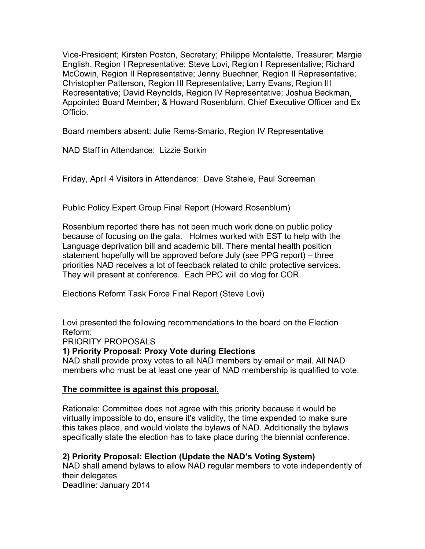Vice-President; Kirsten Poston, Secretary; Philippe Montalette, Treasurer; Margie English, Region I Representative; Steve Lovi, Region I Representative; Richard McCowin, Region II Representative; Jenny Buechner, Region II Representative; Christopher Patterson, Region III Representative; Larry Evans, Region III Representative; David Reynolds, Region IV Representative; Joshua Beckman, Appointed Board Member; & Howard Rosenblum, Chief Executive Officer and Ex Officio.

Board members absent: Julie Rems-Smario, Region IV Representative

NAD Staff in Attendance: Lizzie Sorkin

Friday, April 4 Visitors in Attendance: Dave Stahele, Paul Screeman

Public Policy Expert Group Final Report (Howard Rosenblum)

Rosenblum reported there has not been much work done on public policy because of focusing on the gala. Holmes worked with EST to help with the Language deprivation bill and academic bill. There mental health position statement hopefully will be approved before July (see PPG report) – three priorities NAD receives a lot of feedback related to child protective services. They will present at conference. Each PPC will do vlog for COR.

Elections Reform Task Force Final Report (Steve Lovi)

Lovi presented the following recommendations to the board on the Election Reform:

PRIORITY PROPOSALS

# **1) Priority Proposal: Proxy Vote during Elections**

NAD shall provide proxy votes to all NAD members by email or mail. All NAD members who must be at least one year of NAD membership is qualified to vote.

#### **The committee is against this proposal.**

Rationale: Committee does not agree with this priority because it would be virtually impossible to do, ensure it's validity, the time expended to make sure this takes place, and would violate the bylaws of NAD. Additionally the bylaws specifically state the election has to take place during the biennial conference.

# **2) Priority Proposal: Election (Update the NAD's Voting System)**

NAD shall amend bylaws to allow NAD regular members to vote independently of their delegates

Deadline: January 2014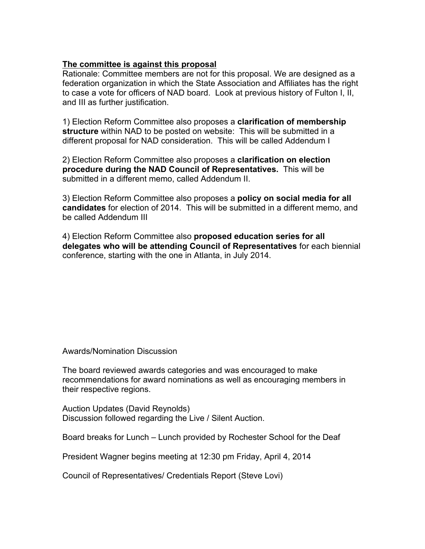#### **The committee is against this proposal**

Rationale: Committee members are not for this proposal. We are designed as a federation organization in which the State Association and Affiliates has the right to case a vote for officers of NAD board. Look at previous history of Fulton I, II, and III as further justification.

1) Election Reform Committee also proposes a **clarification of membership structure** within NAD to be posted on website: This will be submitted in a different proposal for NAD consideration. This will be called Addendum I

2) Election Reform Committee also proposes a **clarification on election procedure during the NAD Council of Representatives.** This will be submitted in a different memo, called Addendum II.

3) Election Reform Committee also proposes a **policy on social media for all candidates** for election of 2014. This will be submitted in a different memo, and be called Addendum III

4) Election Reform Committee also **proposed education series for all delegates who will be attending Council of Representatives** for each biennial conference, starting with the one in Atlanta, in July 2014.

Awards/Nomination Discussion

The board reviewed awards categories and was encouraged to make recommendations for award nominations as well as encouraging members in their respective regions.

Auction Updates (David Reynolds) Discussion followed regarding the Live / Silent Auction.

Board breaks for Lunch – Lunch provided by Rochester School for the Deaf

President Wagner begins meeting at 12:30 pm Friday, April 4, 2014

Council of Representatives/ Credentials Report (Steve Lovi)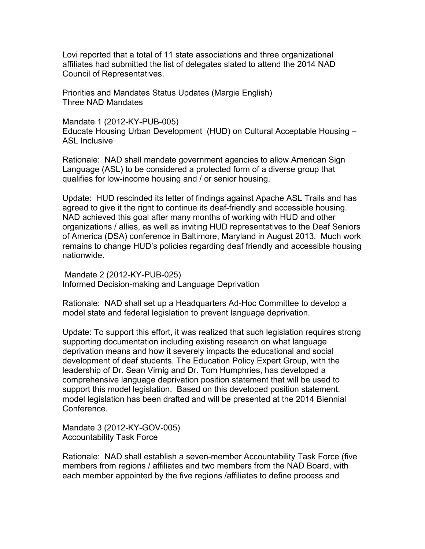Lovi reported that a total of 11 state associations and three organizational affiliates had submitted the list of delegates slated to attend the 2014 NAD Council of Representatives.

Priorities and Mandates Status Updates (Margie English) Three NAD Mandates

Mandate 1 (2012-KY-PUB-005)

Educate Housing Urban Development (HUD) on Cultural Acceptable Housing – ASL Inclusive

Rationale: NAD shall mandate government agencies to allow American Sign Language (ASL) to be considered a protected form of a diverse group that qualifies for low-income housing and / or senior housing.

Update: HUD rescinded its letter of findings against Apache ASL Trails and has agreed to give it the right to continue its deaf-friendly and accessible housing. NAD achieved this goal after many months of working with HUD and other organizations / allies, as well as inviting HUD representatives to the Deaf Seniors of America (DSA) conference in Baltimore, Maryland in August 2013. Much work remains to change HUD's policies regarding deaf friendly and accessible housing nationwide.

Mandate 2 (2012-KY-PUB-025) Informed Decision-making and Language Deprivation

Rationale: NAD shall set up a Headquarters Ad-Hoc Committee to develop a model state and federal legislation to prevent language deprivation.

Update: To support this effort, it was realized that such legislation requires strong supporting documentation including existing research on what language deprivation means and how it severely impacts the educational and social development of deaf students. The Education Policy Expert Group, with the leadership of Dr. Sean Virnig and Dr. Tom Humphries, has developed a comprehensive language deprivation position statement that will be used to support this model legislation. Based on this developed position statement, model legislation has been drafted and will be presented at the 2014 Biennial **Conference** 

Mandate 3 (2012-KY-GOV-005) Accountability Task Force

Rationale: NAD shall establish a seven-member Accountability Task Force (five members from regions / affiliates and two members from the NAD Board, with each member appointed by the five regions /affiliates to define process and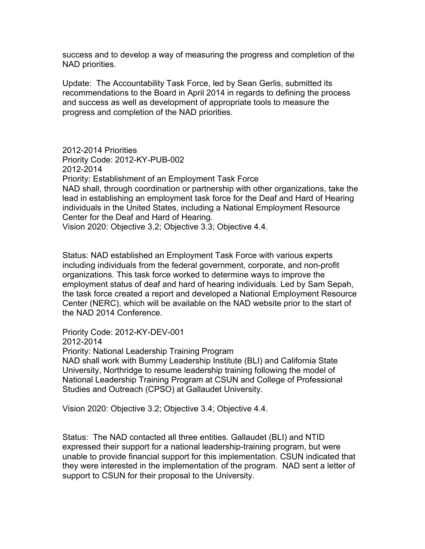success and to develop a way of measuring the progress and completion of the NAD priorities.

Update: The Accountability Task Force, led by Sean Gerlis, submitted its recommendations to the Board in April 2014 in regards to defining the process and success as well as development of appropriate tools to measure the progress and completion of the NAD priorities.

2012-2014 Priorities Priority Code: 2012-KY-PUB-002 2012-2014 Priority: Establishment of an Employment Task Force NAD shall, through coordination or partnership with other organizations, take the lead in establishing an employment task force for the Deaf and Hard of Hearing individuals in the United States, including a National Employment Resource Center for the Deaf and Hard of Hearing. Vision 2020: Objective 3.2; Objective 3.3; Objective 4.4.

Status: NAD established an Employment Task Force with various experts including individuals from the federal government, corporate, and non-profit organizations. This task force worked to determine ways to improve the employment status of deaf and hard of hearing individuals. Led by Sam Sepah, the task force created a report and developed a National Employment Resource Center (NERC), which will be available on the NAD website prior to the start of the NAD 2014 Conference.

Priority Code: 2012-KY-DEV-001 2012-2014 Priority: National Leadership Training Program NAD shall work with Bummy Leadership Institute (BLI) and California State

University, Northridge to resume leadership training following the model of National Leadership Training Program at CSUN and College of Professional Studies and Outreach (CPSO) at Gallaudet University.

Vision 2020: Objective 3.2; Objective 3.4; Objective 4.4.

Status: The NAD contacted all three entities. Gallaudet (BLI) and NTID expressed their support for a national leadership-training program, but were unable to provide financial support for this implementation. CSUN indicated that they were interested in the implementation of the program. NAD sent a letter of support to CSUN for their proposal to the University.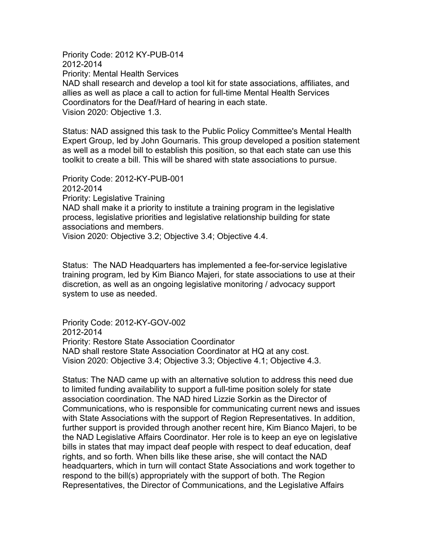Priority Code: 2012 KY-PUB-014 2012-2014 Priority: Mental Health Services NAD shall research and develop a tool kit for state associations, affiliates, and allies as well as place a call to action for full-time Mental Health Services Coordinators for the Deaf/Hard of hearing in each state. Vision 2020: Objective 1.3.

Status: NAD assigned this task to the Public Policy Committee's Mental Health Expert Group, led by John Gournaris. This group developed a position statement as well as a model bill to establish this position, so that each state can use this toolkit to create a bill. This will be shared with state associations to pursue.

Priority Code: 2012-KY-PUB-001 2012-2014 Priority: Legislative Training NAD shall make it a priority to institute a training program in the legislative process, legislative priorities and legislative relationship building for state associations and members. Vision 2020: Objective 3.2; Objective 3.4; Objective 4.4.

Status: The NAD Headquarters has implemented a fee-for-service legislative training program, led by Kim Bianco Majeri, for state associations to use at their discretion, as well as an ongoing legislative monitoring / advocacy support system to use as needed.

Priority Code: 2012-KY-GOV-002 2012-2014 Priority: Restore State Association Coordinator NAD shall restore State Association Coordinator at HQ at any cost. Vision 2020: Objective 3.4; Objective 3.3; Objective 4.1; Objective 4.3.

Status: The NAD came up with an alternative solution to address this need due to limited funding availability to support a full-time position solely for state association coordination. The NAD hired Lizzie Sorkin as the Director of Communications, who is responsible for communicating current news and issues with State Associations with the support of Region Representatives. In addition, further support is provided through another recent hire, Kim Bianco Majeri, to be the NAD Legislative Affairs Coordinator. Her role is to keep an eye on legislative bills in states that may impact deaf people with respect to deaf education, deaf rights, and so forth. When bills like these arise, she will contact the NAD headquarters, which in turn will contact State Associations and work together to respond to the bill(s) appropriately with the support of both. The Region Representatives, the Director of Communications, and the Legislative Affairs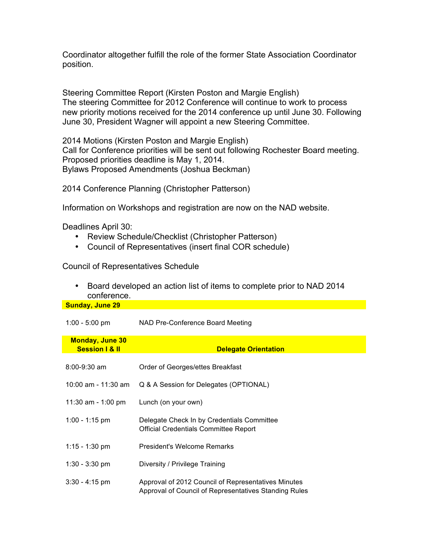Coordinator altogether fulfill the role of the former State Association Coordinator position.

Steering Committee Report (Kirsten Poston and Margie English) The steering Committee for 2012 Conference will continue to work to process new priority motions received for the 2014 conference up until June 30. Following June 30, President Wagner will appoint a new Steering Committee.

2014 Motions (Kirsten Poston and Margie English) Call for Conference priorities will be sent out following Rochester Board meeting. Proposed priorities deadline is May 1, 2014. Bylaws Proposed Amendments (Joshua Beckman)

2014 Conference Planning (Christopher Patterson)

Information on Workshops and registration are now on the NAD website.

Deadlines April 30:

- Review Schedule/Checklist (Christopher Patterson)
- Council of Representatives (insert final COR schedule)

Council of Representatives Schedule

• Board developed an action list of items to complete prior to NAD 2014 conference.

**Sunday, June 29**

1:00 - 5:00 pm NAD Pre-Conference Board Meeting

| <b>Monday, June 30</b><br><b>Session I &amp; II</b> | <b>Delegate Orientation</b>                                                                                  |
|-----------------------------------------------------|--------------------------------------------------------------------------------------------------------------|
| $8:00 - 9:30$ am                                    | Order of Georges/ettes Breakfast                                                                             |
| 10:00 am - 11:30 am                                 | Q & A Session for Delegates (OPTIONAL)                                                                       |
| 11:30 am - 1:00 pm                                  | Lunch (on your own)                                                                                          |
| $1:00 - 1:15$ pm                                    | Delegate Check In by Credentials Committee<br><b>Official Credentials Committee Report</b>                   |
| 1:15 - 1:30 pm                                      | President's Welcome Remarks                                                                                  |
| $1:30 - 3:30$ pm                                    | Diversity / Privilege Training                                                                               |
| $3:30 - 4:15$ pm                                    | Approval of 2012 Council of Representatives Minutes<br>Approval of Council of Representatives Standing Rules |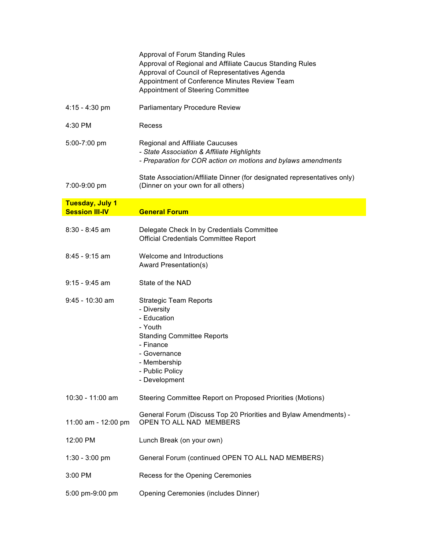|                                                 | Approval of Forum Standing Rules<br>Approval of Regional and Affiliate Caucus Standing Rules<br>Approval of Council of Representatives Agenda<br>Appointment of Conference Minutes Review Team<br>Appointment of Steering Committee |
|-------------------------------------------------|-------------------------------------------------------------------------------------------------------------------------------------------------------------------------------------------------------------------------------------|
| $4:15 - 4:30$ pm                                | <b>Parliamentary Procedure Review</b>                                                                                                                                                                                               |
| 4:30 PM                                         | Recess                                                                                                                                                                                                                              |
| 5:00-7:00 pm                                    | <b>Regional and Affiliate Caucuses</b><br>- State Association & Affiliate Highlights<br>- Preparation for COR action on motions and bylaws amendments                                                                               |
| 7:00-9:00 pm                                    | State Association/Affiliate Dinner (for designated representatives only)<br>(Dinner on your own for all others)                                                                                                                     |
| <b>Tuesday, July 1</b><br><b>Session III-IV</b> | <b>General Forum</b>                                                                                                                                                                                                                |
| $8:30 - 8:45$ am                                | Delegate Check In by Credentials Committee<br>Official Credentials Committee Report                                                                                                                                                 |
| $8:45 - 9:15$ am                                | Welcome and Introductions<br>Award Presentation(s)                                                                                                                                                                                  |
| $9:15 - 9:45$ am                                | State of the NAD                                                                                                                                                                                                                    |
| $9:45 - 10:30$ am                               | <b>Strategic Team Reports</b><br>- Diversity<br>- Education<br>- Youth<br><b>Standing Committee Reports</b><br>- Finance<br>- Governance<br>- Membership<br>- Public Policy<br>- Development                                        |
| 10:30 - 11:00 am                                | Steering Committee Report on Proposed Priorities (Motions)                                                                                                                                                                          |
| 11:00 am - 12:00 pm                             | General Forum (Discuss Top 20 Priorities and Bylaw Amendments) -<br>OPEN TO ALL NAD MEMBERS                                                                                                                                         |
| 12:00 PM                                        | Lunch Break (on your own)                                                                                                                                                                                                           |
| $1:30 - 3:00$ pm                                | General Forum (continued OPEN TO ALL NAD MEMBERS)                                                                                                                                                                                   |
| 3:00 PM                                         | Recess for the Opening Ceremonies                                                                                                                                                                                                   |
| 5:00 pm-9:00 pm                                 | Opening Ceremonies (includes Dinner)                                                                                                                                                                                                |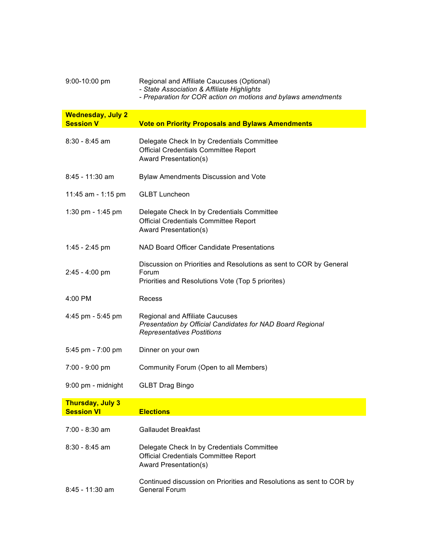| 9:00-10:00 pm                                | Regional and Affiliate Caucuses (Optional)<br>- State Association & Affiliate Highlights<br>- Preparation for COR action on motions and bylaws amendments |
|----------------------------------------------|-----------------------------------------------------------------------------------------------------------------------------------------------------------|
| <b>Wednesday, July 2</b><br><b>Session V</b> | <b>Vote on Priority Proposals and Bylaws Amendments</b>                                                                                                   |
| 8:30 - 8:45 am                               | Delegate Check In by Credentials Committee<br><b>Official Credentials Committee Report</b><br><b>Award Presentation(s)</b>                                |
| 8:45 - 11:30 am                              | Bylaw Amendments Discussion and Vote                                                                                                                      |
| 11:45 am - 1:15 pm                           | <b>GLBT Luncheon</b>                                                                                                                                      |
| 1:30 pm - 1:45 pm                            | Delegate Check In by Credentials Committee<br><b>Official Credentials Committee Report</b><br>Award Presentation(s)                                       |
| 1:45 - 2:45 pm                               | NAD Board Officer Candidate Presentations                                                                                                                 |
| $2:45 - 4:00$ pm                             | Discussion on Priorities and Resolutions as sent to COR by General<br>Forum<br>Priorities and Resolutions Vote (Top 5 priorites)                          |
| 4:00 PM                                      | Recess                                                                                                                                                    |
| 4:45 pm - 5:45 pm                            | <b>Regional and Affiliate Caucuses</b><br>Presentation by Official Candidates for NAD Board Regional<br><b>Representatives Postitions</b>                 |
| 5:45 pm - 7:00 pm                            | Dinner on your own                                                                                                                                        |
| 7:00 - 9:00 pm                               | Community Forum (Open to all Members)                                                                                                                     |
| 9:00 pm - midnight                           | <b>GLBT Drag Bingo</b>                                                                                                                                    |
| <b>Thursday, July 3</b><br><b>Session VI</b> | <b>Elections</b>                                                                                                                                          |
|                                              |                                                                                                                                                           |
| 7:00 - 8:30 am                               | <b>Gallaudet Breakfast</b>                                                                                                                                |
| $8:30 - 8:45$ am                             | Delegate Check In by Credentials Committee<br><b>Official Credentials Committee Report</b><br>Award Presentation(s)                                       |
| 8:45 - 11:30 am                              | Continued discussion on Priorities and Resolutions as sent to COR by<br><b>General Forum</b>                                                              |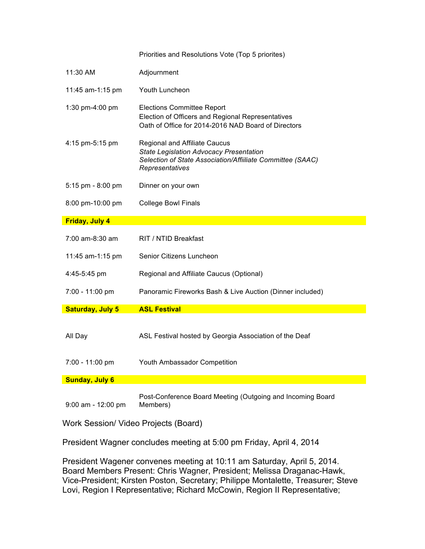|                         | Priorities and Resolutions Vote (Top 5 priorites)                                                                                                                       |
|-------------------------|-------------------------------------------------------------------------------------------------------------------------------------------------------------------------|
| 11:30 AM                | Adjournment                                                                                                                                                             |
| 11:45 am-1:15 pm        | Youth Luncheon                                                                                                                                                          |
| 1:30 pm-4:00 pm         | <b>Elections Committee Report</b><br>Election of Officers and Regional Representatives<br>Oath of Office for 2014-2016 NAD Board of Directors                           |
| 4:15 pm-5:15 pm         | <b>Regional and Affiliate Caucus</b><br><b>State Legislation Advocacy Presentation</b><br>Selection of State Association/Affiiliate Committee (SAAC)<br>Representatives |
| 5:15 pm - 8:00 pm       | Dinner on your own                                                                                                                                                      |
| 8:00 pm-10:00 pm        | <b>College Bowl Finals</b>                                                                                                                                              |
| <b>Friday, July 4</b>   |                                                                                                                                                                         |
| $7:00$ am-8:30 am       | RIT / NTID Breakfast                                                                                                                                                    |
| 11:45 am-1:15 pm        | Senior Citizens Luncheon                                                                                                                                                |
| 4:45-5:45 pm            | Regional and Affiliate Caucus (Optional)                                                                                                                                |
| 7:00 - 11:00 pm         | Panoramic Fireworks Bash & Live Auction (Dinner included)                                                                                                               |
| <b>Saturday, July 5</b> | <b>ASL Festival</b>                                                                                                                                                     |
| All Day                 | ASL Festival hosted by Georgia Association of the Deaf                                                                                                                  |
| 7:00 - 11:00 pm         | Youth Ambassador Competition                                                                                                                                            |
| <b>Sunday, July 6</b>   |                                                                                                                                                                         |
| 9:00 am - 12:00 pm      | Post-Conference Board Meeting (Outgoing and Incoming Board<br>Members)                                                                                                  |

Work Session/ Video Projects (Board)

President Wagner concludes meeting at 5:00 pm Friday, April 4, 2014

President Wagener convenes meeting at 10:11 am Saturday, April 5, 2014. Board Members Present: Chris Wagner, President; Melissa Draganac-Hawk, Vice-President; Kirsten Poston, Secretary; Philippe Montalette, Treasurer; Steve Lovi, Region I Representative; Richard McCowin, Region II Representative;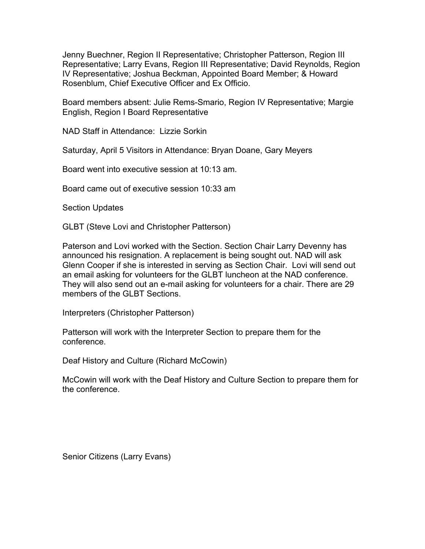Jenny Buechner, Region II Representative; Christopher Patterson, Region III Representative; Larry Evans, Region III Representative; David Reynolds, Region IV Representative; Joshua Beckman, Appointed Board Member; & Howard Rosenblum, Chief Executive Officer and Ex Officio.

Board members absent: Julie Rems-Smario, Region IV Representative; Margie English, Region I Board Representative

NAD Staff in Attendance: Lizzie Sorkin

Saturday, April 5 Visitors in Attendance: Bryan Doane, Gary Meyers

Board went into executive session at 10:13 am.

Board came out of executive session 10:33 am

Section Updates

GLBT (Steve Lovi and Christopher Patterson)

Paterson and Lovi worked with the Section. Section Chair Larry Devenny has announced his resignation. A replacement is being sought out. NAD will ask Glenn Cooper if she is interested in serving as Section Chair. Lovi will send out an email asking for volunteers for the GLBT luncheon at the NAD conference. They will also send out an e-mail asking for volunteers for a chair. There are 29 members of the GLBT Sections.

Interpreters (Christopher Patterson)

Patterson will work with the Interpreter Section to prepare them for the conference.

Deaf History and Culture (Richard McCowin)

McCowin will work with the Deaf History and Culture Section to prepare them for the conference.

Senior Citizens (Larry Evans)